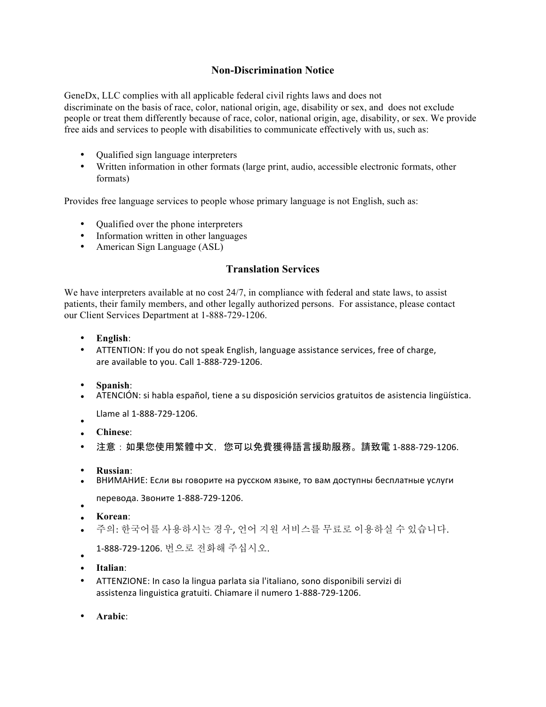## **Non-Discrimination Notice**

GeneDx, LLC complies with all applicable federal civil rights laws and does not discriminate on the basis of race, color, national origin, age, disability or sex, and does not exclude people or treat them differently because of race, color, national origin, age, disability, or sex. We provide free aids and services to people with disabilities to communicate effectively with us, such as:

- Qualified sign language interpreters
- Written information in other formats (large print, audio, accessible electronic formats, other formats)

Provides free language services to people whose primary language is not English, such as:

- Qualified over the phone interpreters
- Information written in other languages
- American Sign Language (ASL)

## **Translation Services**

We have interpreters available at no cost 24/7, in compliance with federal and state laws, to assist patients, their family members, and other legally authorized persons. For assistance, please contact our Client Services Department at 1-888-729-1206.

- **English**:
- ATTENTION: If you do not speak English, language assistance services, free of charge, are available to you. Call 1-888-729-1206.
- **Spanish**:
- ATENCIÓN: si habla español, tiene a su disposición servicios gratuitos de asistencia lingüística.
- Llame al 1-888-729-1206.
- **Chinese**:
- 注意:如果您使用繁體中文,您可以免費獲得語言援助服務。請致電 1-888-729-1206.
- **Russian**:
- ВНИМАНИЕ: Если вы говорите на русском языке, то вам доступны бесплатные услуги
- перевода. Звоните 1-888-729-1206.
- **Korean**:
- 주의: 한국어를 사용하시는 경우, 언어 지원 서비스를 무료로 이용하실 수 있습니다.
- 1-888-729-1206. 번으로 전화해 주십시오.
- • **Italian**:
- ATTENZIONE: In caso la lingua parlata sia l'italiano, sono disponibili servizi di assistenza linguistica gratuiti. Chiamare il numero 1-888-729-1206.
- **Arabic**: